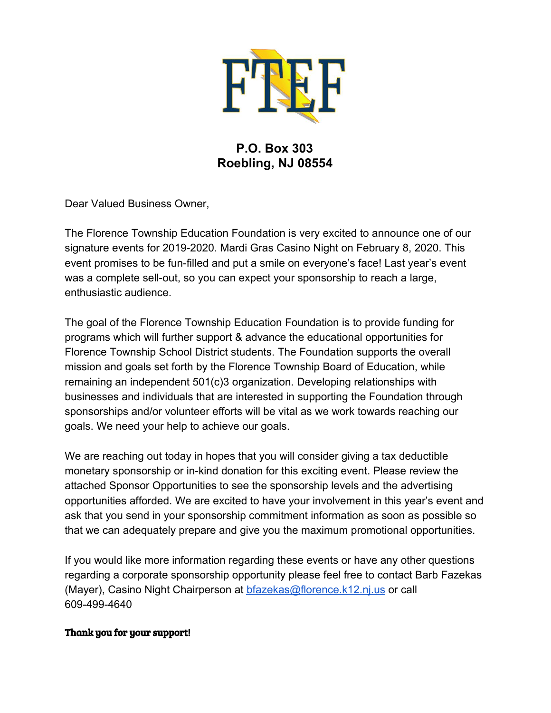

## **P.O. Box 303 Roebling, NJ 08554**

Dear Valued Business Owner,

The Florence Township Education Foundation is very excited to announce one of our signature events for 2019-2020. Mardi Gras Casino Night on February 8, 2020. This event promises to be fun-filled and put a smile on everyone's face! Last year's event was a complete sell-out, so you can expect your sponsorship to reach a large, enthusiastic audience.

The goal of the Florence Township Education Foundation is to provide funding for programs which will further support & advance the educational opportunities for Florence Township School District students. The Foundation supports the overall mission and goals set forth by the Florence Township Board of Education, while remaining an independent 501(c)3 organization. Developing relationships with businesses and individuals that are interested in supporting the Foundation through sponsorships and/or volunteer efforts will be vital as we work towards reaching our goals. We need your help to achieve our goals.

We are reaching out today in hopes that you will consider giving a tax deductible monetary sponsorship or in-kind donation for this exciting event. Please review the attached Sponsor Opportunities to see the sponsorship levels and the advertising opportunities afforded. We are excited to have your involvement in this year's event and ask that you send in your sponsorship commitment information as soon as possible so that we can adequately prepare and give you the maximum promotional opportunities.

If you would like more information regarding these events or have any other questions regarding a corporate sponsorship opportunity please feel free to contact Barb Fazekas (Mayer), Casino Night Chairperson at [bfazekas@florence.k12.nj.us](mailto:bfazekas@florence.k12.nj.us) or call 609-499-4640

## Thank you for your support!